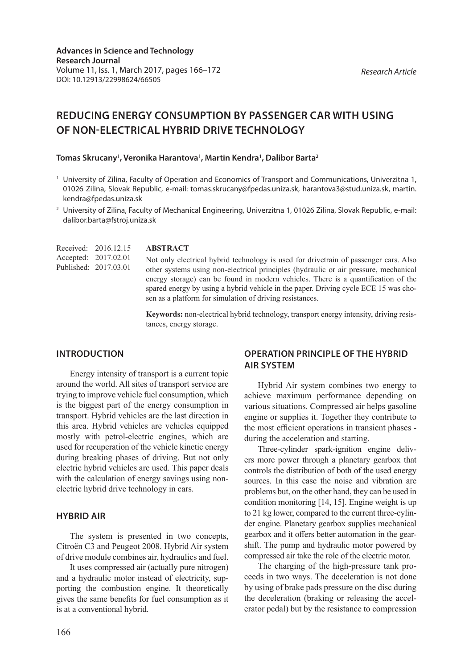# **REDUCING ENERGY CONSUMPTION BY PASSENGER CAR WITH USING OF NON-ELECTRICAL HYBRID DRIVE TECHNOLOGY**

#### **Tomas Skrucany1 , Veronika Harantova1 , Martin Kendra1 , Dalibor Barta2**

- 1 University of Zilina, Faculty of Operation and Economics of Transport and Communications, Univerzitna 1, 01026 Zilina, Slovak Republic, e-mail: tomas.skrucany@fpedas.uniza.sk, harantova3@stud.uniza.sk, martin. kendra@fpedas.uniza.sk
- <sup>2</sup> University of Zilina, Faculty of Mechanical Engineering, Univerzitna 1, 01026 Zilina, Slovak Republic, e-mail: dalibor.barta@fstroj.uniza.sk

Received: 2016.12.15 Accepted: 2017.02.01 Published: 2017.03.01

#### **ABSTRACT**

Not only electrical hybrid technology is used for drivetrain of passenger cars. Also other systems using non-electrical principles (hydraulic or air pressure, mechanical energy storage) can be found in modern vehicles. There is a quantification of the spared energy by using a hybrid vehicle in the paper. Driving cycle ECE 15 was chosen as a platform for simulation of driving resistances.

**Keywords:** non-electrical hybrid technology, transport energy intensity, driving resistances, energy storage.

### **INTRODUCTION**

Energy intensity of transport is a current topic around the world. All sites of transport service are trying to improve vehicle fuel consumption, which is the biggest part of the energy consumption in transport. Hybrid vehicles are the last direction in this area. Hybrid vehicles are vehicles equipped mostly with petrol-electric engines, which are used for recuperation of the vehicle kinetic energy during breaking phases of driving. But not only electric hybrid vehicles are used. This paper deals with the calculation of energy savings using nonelectric hybrid drive technology in cars.

#### **HYBRID AIR**

The system is presented in two concepts, Citroën C3 and Peugeot 2008. Hybrid Air system of drive module combines air, hydraulics and fuel.

It uses compressed air (actually pure nitrogen) and a hydraulic motor instead of electricity, supporting the combustion engine. It theoretically gives the same benefits for fuel consumption as it is at a conventional hybrid.

# **OPERATION PRINCIPLE OF THE HYBRID AIR SYSTEM**

Hybrid Air system combines two energy to achieve maximum performance depending on various situations. Compressed air helps gasoline engine or supplies it. Together they contribute to the most efficient operations in transient phases during the acceleration and starting.

Three-cylinder spark-ignition engine delivers more power through a planetary gearbox that controls the distribution of both of the used energy sources. In this case the noise and vibration are problems but, on the other hand, they can be used in condition monitoring [14, 15]. Engine weight is up to 21 kg lower, compared to the current three-cylinder engine. Planetary gearbox supplies mechanical gearbox and it offers better automation in the gearshift. The pump and hydraulic motor powered by compressed air take the role of the electric motor.

The charging of the high-pressure tank proceeds in two ways. The deceleration is not done by using of brake pads pressure on the disc during the deceleration (braking or releasing the accelerator pedal) but by the resistance to compression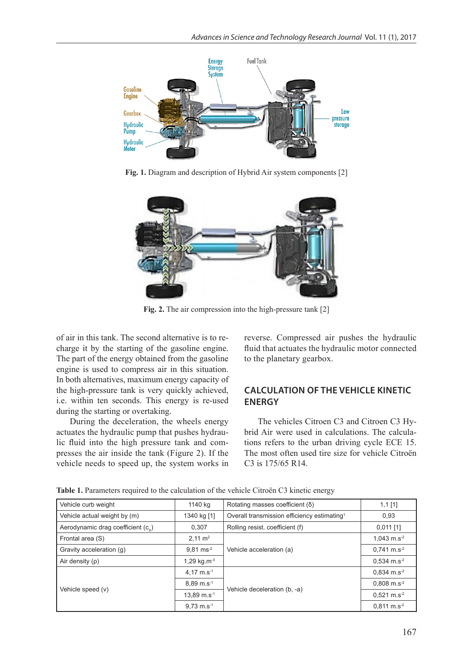

**Fig. 1.** Diagram and description of Hybrid Air system components [2]



**Fig. 2.** The air compression into the high-pressure tank [2]

of air in this tank. The second alternative is to recharge it by the starting of the gasoline engine. The part of the energy obtained from the gasoline engine is used to compress air in this situation. In both alternatives, maximum energy capacity of the high-pressure tank is very quickly achieved, i.e. within ten seconds. This energy is re-used during the starting or overtaking.

During the deceleration, the wheels energy actuates the hydraulic pump that pushes hydraulic fluid into the high pressure tank and compresses the air inside the tank (Figure 2). If the vehicle needs to speed up, the system works in reverse. Compressed air pushes the hydraulic fluid that actuates the hydraulic motor connected to the planetary gearbox.

### **CALCULATION OF THE VEHICLE KINETIC ENERGY**

The vehicles Citroen C3 and Citroen C3 Hybrid Air were used in calculations. The calculations refers to the urban driving cycle ECE 15. The most often used tire size for vehicle Citroën C3 is 175/65 R14.

| Vehicle curb weight                  | 1140 kg                 | Rotating masses coefficient $(\delta)$                  | $1,1$ [1]                |
|--------------------------------------|-------------------------|---------------------------------------------------------|--------------------------|
| Vehicle actual weight by (m)         | 1340 kg [1]             | Overall transmission efficiency estimating <sup>1</sup> | 0,93                     |
| Aerodynamic drag coefficient $(c_x)$ | 0,307                   | Rolling resist. coefficient (f)                         | $0,011$ [1]              |
| Frontal area (S)                     | $2,11 \, \text{m}^2$    |                                                         | $1,043 \text{ m.s}^{-2}$ |
| Gravity acceleration (q)             | $9,81 \text{ ms}^{-2}$  | Vehicle acceleration (a)                                | $0,741 \text{ m.s}^{-2}$ |
| Air density $(\rho)$                 | 1,29 kg.m $3$           |                                                         | $0,534 \text{ m.s}^{-2}$ |
| Vehicle speed (v)                    | $4,17 \text{ m.s}^{-1}$ |                                                         | $0.834 \text{ m.s}^{-2}$ |
|                                      | $8,89 \text{ m.s}^{-1}$ | Vehicle deceleration (b, -a)                            | $0,808 \text{ m.s}^{-2}$ |
|                                      | 13,89 m.s <sup>-1</sup> |                                                         | $0,521 \text{ m.s}^{-2}$ |
|                                      | $9.73 \text{ m.s}^{-1}$ |                                                         | $0.811 \text{ m.s}^{-2}$ |

**Table 1.** Parameters required to the calculation of the vehicle Citroën C3 kinetic energy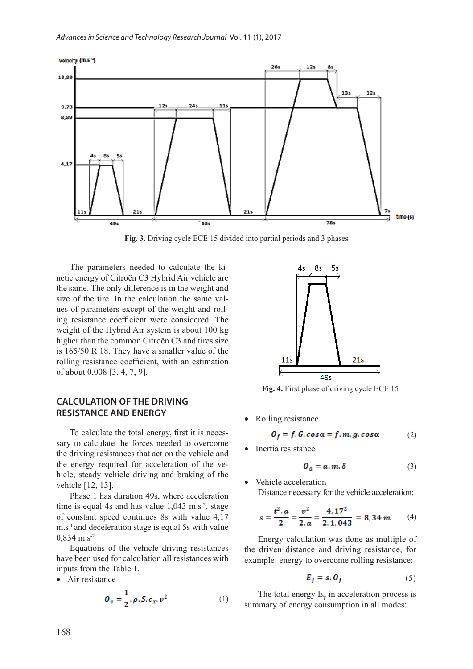

**Fig. 3.** Driving cycle ECE 15 divided into partial periods and 3 phases

The parameters needed to calculate the kinetic energy of Citroën C3 Hybrid Air vehicle are the same. The only difference is in the weight and size of the tire. In the calculation the same values of parameters except of the weight and rolling resistance coefficient were considered. The weight of the Hybrid Air system is about 100 kg higher than the common Citroën C3 and tires size is 165/50 R 18. They have a smaller value of the rolling resistance coefficient, with an estimation of about 0,008 [3, 4, 7, 9].

## **CALCULATION OF THE DRIVING RESISTANCE AND ENERGY**

To calculate the total energy, first it is necessary to calculate the forces needed to overcome the driving resistances that act on the vehicle and the energy required for acceleration of the vehicle, steady vehicle driving and braking of the vehicle [12, 13].

Phase 1 has duration 49s, where acceleration time is equal 4s and has value  $1,043 \text{ m.s}^2$ , stage of constant speed continues 8s with value 4,17  $m.s^{-1}$  and deceleration stage is equal 5s with value 0,834 m.s-2.

Equations of the vehicle driving resistances have been used for calculation all resistances with inputs from the Table 1.

• Air resistance

$$
\mathbf{D}_{v} = \frac{1}{2} \cdot \boldsymbol{\rho} \cdot \mathbf{S} \cdot \mathbf{c}_{x}, v^{2}
$$
 (1)



**Fig. 4.** First phase of driving cycle ECE 15

Rolling resistance

$$
\boldsymbol{0}_f = \boldsymbol{f}.\,\boldsymbol{G}.\,\boldsymbol{cos\alpha} = \boldsymbol{f}.\,\boldsymbol{m}.\,\boldsymbol{g}.\,\boldsymbol{cos\alpha} \tag{2}
$$

Inertia resistance

$$
\boldsymbol{0}_a = \boldsymbol{a} \cdot \boldsymbol{m} \cdot \boldsymbol{\delta} \tag{3}
$$

Vehicle acceleration Distance necessary for the vehicle acceleration:

$$
s = \frac{t^2 \cdot a}{2} = \frac{v^2}{2 \cdot a} = \frac{4 \cdot 17^2}{2 \cdot 1.043} = 8.34 \, m \tag{4}
$$

Energy calculation was done as multiple of the driven distance and driving resistance, for example: energy to overcome rolling resistance:

$$
E_f = s \cdot O_f \tag{5}
$$

The total energy  $E_{\tau}$  in acceleration process is summary of energy consumption in all modes: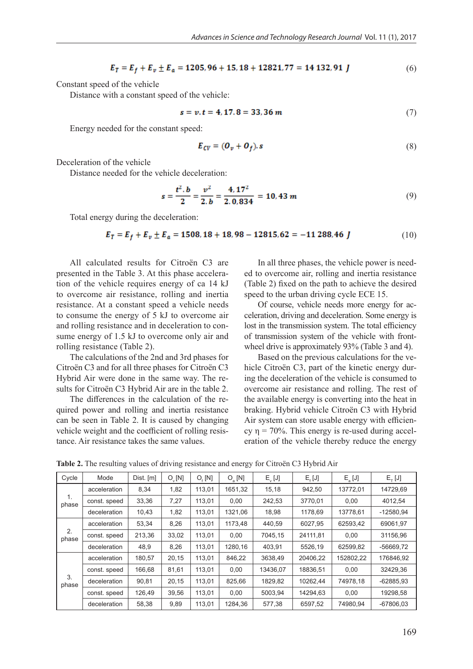$$
E_T = E_f + E_v \pm E_a = 1205,96 + 15,18 + 12821,77 = 14132,91
$$
 (6)

Constant speed of the vehicle

Distance with a constant speed of the vehicle:

$$
s = v, t = 4, 17, 8 = 33, 36 m \tag{7}
$$

Energy needed for the constant speed:

$$
\boldsymbol{E}_{\mathcal{CV}} = (\boldsymbol{O}_v + \boldsymbol{O}_f). \boldsymbol{s} \tag{8}
$$

Deceleration of the vehicle

Distance needed for the vehicle deceleration:

$$
s = \frac{t^2 \cdot b}{2} = \frac{v^2}{2 \cdot b} = \frac{4.17^2}{2.0.834} = 10.43 \, m \tag{9}
$$

Total energy during the deceleration:

$$
E_T = E_f + E_v \pm E_a = 1508, 18 + 18, 98 - 12815, 62 = -11288, 46 J \tag{10}
$$

All calculated results for Citroën C3 are presented in the Table 3. At this phase acceleration of the vehicle requires energy of ca 14 kJ to overcome air resistance, rolling and inertia resistance. At a constant speed a vehicle needs to consume the energy of 5 kJ to overcome air and rolling resistance and in deceleration to consume energy of 1.5 kJ to overcome only air and rolling resistance (Table 2).

The calculations of the 2nd and 3rd phases for Citroën C3 and for all three phases for Citroën C3 Hybrid Air were done in the same way. The results for Citroën C3 Hybrid Air are in the table 2.

The differences in the calculation of the required power and rolling and inertia resistance can be seen in Table 2. It is caused by changing vehicle weight and the coefficient of rolling resistance. Air resistance takes the same values.

In all three phases, the vehicle power is needed to overcome air, rolling and inertia resistance (Table 2) fixed on the path to achieve the desired speed to the urban driving cycle ECE 15.

Of course, vehicle needs more energy for acceleration, driving and deceleration. Some energy is lost in the transmission system. The total efficiency of transmission system of the vehicle with frontwheel drive is approximately 93% (Table 3 and 4).

Based on the previous calculations for the vehicle Citroën C3, part of the kinetic energy during the deceleration of the vehicle is consumed to overcome air resistance and rolling. The rest of the available energy is converting into the heat in braking. Hybrid vehicle Citroën C3 with Hybrid Air system can store usable energy with efficiency  $\eta = 70\%$ . This energy is re-used during acceleration of the vehicle thereby reduce the energy

| Cycle       | Mode         | Dist. [m] | $O_{\nu}$ [N] | $O_{f}$ [N] | $O_{a}$ [N] | $E_{v}$ [J] | $E_{\rm r}$ [J] | $E_{a}$ [J] | $E_{\tau}$ [J] |
|-------------|--------------|-----------|---------------|-------------|-------------|-------------|-----------------|-------------|----------------|
| 1.<br>phase | acceleration | 8,34      | 1,82          | 113,01      | 1651,32     | 15,18       | 942,50          | 13772,01    | 14729,69       |
|             | const. speed | 33,36     | 7,27          | 113,01      | 0,00        | 242,53      | 3770,01         | 0,00        | 4012,54        |
|             | deceleration | 10.43     | 1,82          | 113,01      | 1321,06     | 18,98       | 1178,69         | 13778.61    | -12580.94      |
| 2.<br>phase | acceleration | 53,34     | 8,26          | 113,01      | 1173,48     | 440.59      | 6027,95         | 62593,42    | 69061,97       |
|             | const. speed | 213,36    | 33,02         | 113,01      | 0,00        | 7045.15     | 24111.81        | 0.00        | 31156.96       |
|             | deceleration | 48,9      | 8,26          | 113,01      | 1280,16     | 403,91      | 5526,19         | 62599,82    | -56669,72      |
| 3.<br>phase | acceleration | 180,57    | 20,15         | 113,01      | 846,22      | 3638,49     | 20406,22        | 152802,22   | 176846,92      |
|             | const. speed | 166,68    | 81,61         | 113,01      | 0,00        | 13436,07    | 18836,51        | 0,00        | 32429,36       |
|             | deceleration | 90,81     | 20,15         | 113,01      | 825,66      | 1829,82     | 10262,44        | 74978,18    | $-62885.93$    |
|             | const. speed | 126,49    | 39,56         | 113,01      | 0,00        | 5003,94     | 14294,63        | 0,00        | 19298,58       |
|             | deceleration | 58,38     | 9,89          | 113,01      | 1284,36     | 577,38      | 6597,52         | 74980,94    | $-67806,03$    |

**Table 2.** The resulting values of driving resistance and energy for Citroën C3 Hybrid Air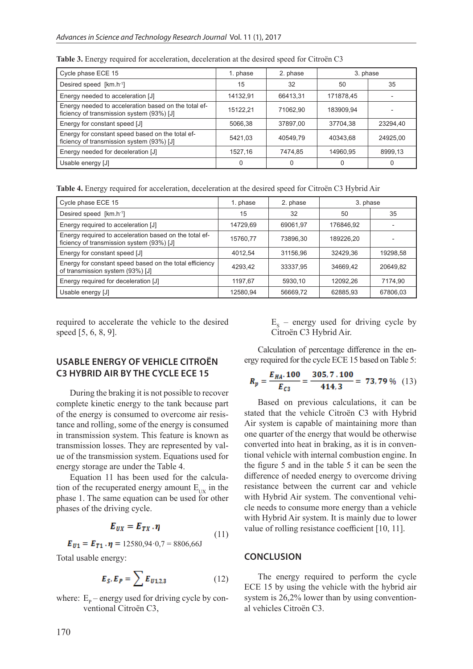| Cycle phase ECE 15                                                                                | 1. phase | 2. phase | 3. phase  |          |
|---------------------------------------------------------------------------------------------------|----------|----------|-----------|----------|
| Desired speed [km.h <sup>-1</sup> ]                                                               | 15       | 32       | 50        | 35       |
| Energy needed to acceleration [J]                                                                 | 14132.91 | 66413.31 | 171878,45 |          |
| Energy needed to acceleration based on the total ef-<br>ficiency of transmission system (93%) [J] | 15122.21 | 71062.90 | 183909.94 |          |
| Energy for constant speed [J]                                                                     | 5066.38  | 37897.00 | 37704.38  | 23294.40 |
| Energy for constant speed based on the total ef-<br>ficiency of transmission system (93%) [J]     | 5421,03  | 40549,79 | 40343.68  | 24925.00 |
| Energy needed for deceleration [J]                                                                | 1527,16  | 7474,85  | 14960.95  | 8999,13  |
| Usable energy [J]                                                                                 | 0        | 0        | 0         | 0        |

**Table 3.** Energy required for acceleration, deceleration at the desired speed for Citroën C3

**Table 4.** Energy required for acceleration, deceleration at the desired speed for Citroën C3 Hybrid Air

| Cycle phase ECE 15                                                                                  | 1. phase | 2. phase | 3. phase  |          |
|-----------------------------------------------------------------------------------------------------|----------|----------|-----------|----------|
| Desired speed [km.h <sup>-1</sup> ]                                                                 | 15       | 32       | 50        | 35       |
| Energy required to acceleration [J]                                                                 | 14729,69 | 69061,97 | 176846,92 |          |
| Energy required to acceleration based on the total ef-<br>ficiency of transmission system (93%) [J] | 15760,77 | 73896,30 | 189226,20 |          |
| Energy for constant speed [J]                                                                       | 4012.54  | 31156.96 | 32429.36  | 19298,58 |
| Energy for constant speed based on the total efficiency<br>of transmission system (93%) [J]         | 4293,42  | 33337.95 | 34669.42  | 20649.82 |
| Energy required for deceleration [J]                                                                | 1197,67  | 5930.10  | 12092,26  | 7174,90  |
| Usable energy [J]                                                                                   | 12580,94 | 56669,72 | 62885,93  | 67806,03 |

required to accelerate the vehicle to the desired speed [5, 6, 8, 9].

### **USABLE ENERGY OF VEHICLE CITROËN C3 HYBRID AIR BY THE CYCLE ECE 15**

During the braking it is not possible to recover complete kinetic energy to the tank because part of the energy is consumed to overcome air resistance and rolling, some of the energy is consumed in transmission system. This feature is known as transmission losses. They are represented by value of the transmission system. Equations used for energy storage are under the Table 4.

Equation 11 has been used for the calculation of the recuperated energy amount  $E_{UX}$  in the phase 1. The same equation can be used for other phases of the driving cycle.

$$
E_{UX} = E_{TX} \cdot \eta \tag{11}
$$

 $\mathbf{E}_{II1} = \mathbf{E}_{T1} \cdot \mathbf{\eta} = 12580.94 \cdot 0.7 = 8806.66J$ 

Total usable energy:

$$
\boldsymbol{E}_{\mathcal{S}}, \boldsymbol{E}_{P} = \sum \boldsymbol{E}_{\boldsymbol{U1}, 2, 3} \tag{12}
$$

where:  $E_p$  – energy used for driving cycle by conventional Citroën C3,

 $E<sub>s</sub>$  – energy used for driving cycle by Citroën C3 Hybrid Air.

Calculation of percentage difference in the energy required for the cycle ECE 15 based on Table 5:

$$
R_p = \frac{E_{HA} \cdot 100}{E_{C3}} = \frac{305, 7 \cdot 100}{414, 3} = 73, 79\% \quad (13)
$$

Based on previous calculations, it can be stated that the vehicle Citroën C3 with Hybrid Air system is capable of maintaining more than one quarter of the energy that would be otherwise converted into heat in braking, as it is in conventional vehicle with internal combustion engine. In the figure 5 and in the table 5 it can be seen the difference of needed energy to overcome driving resistance between the current car and vehicle with Hybrid Air system. The conventional vehicle needs to consume more energy than a vehicle with Hybrid Air system. It is mainly due to lower value of rolling resistance coefficient [10, 11].

#### **CONCLUSION**

The energy required to perform the cycle ECE 15 by using the vehicle with the hybrid air system is 26,2% lower than by using conventional vehicles Citroën C3.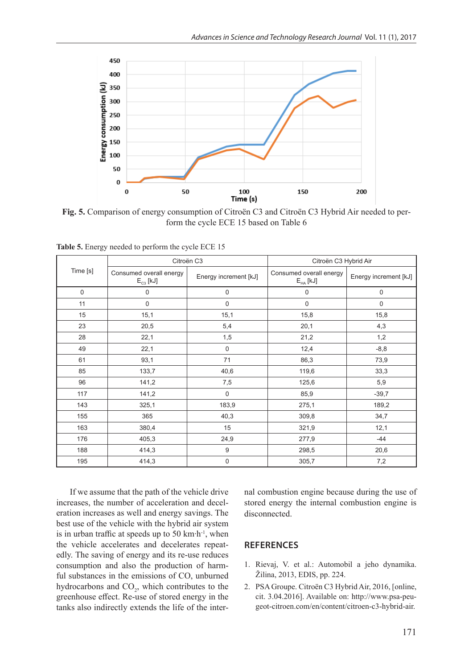

**Fig. 5.** Comparison of energy consumption of Citroën C3 and Citroën C3 Hybrid Air needed to perform the cycle ECE 15 based on Table 6

|             |                                          | Citroën C3            | Citroën C3 Hybrid Air                                         |                       |  |
|-------------|------------------------------------------|-----------------------|---------------------------------------------------------------|-----------------------|--|
| Time [s]    | Consumed overall energy<br>$E_{c3}$ [kJ] | Energy increment [kJ] | Consumed overall energy<br>$\mathsf{E}_{_{\mathsf{HA}}}$ [kJ] | Energy increment [kJ] |  |
| $\mathsf 0$ | $\mathbf 0$                              | 0                     | 0                                                             | 0                     |  |
| 11          | $\mathbf 0$                              | $\mathbf 0$           | 0                                                             | 0                     |  |
| 15          | 15,1                                     | 15,1                  | 15,8                                                          | 15,8                  |  |
| 23          | 20,5                                     | 5,4                   | 20,1                                                          | 4,3                   |  |
| 28          | 22,1                                     | 1,5                   | 21,2                                                          | 1,2                   |  |
| 49          | 22,1                                     | $\mathbf 0$           | 12,4                                                          | $-8,8$                |  |
| 61          | 93,1                                     | 71                    | 86,3                                                          | 73,9                  |  |
| 85          | 133,7                                    | 40,6                  | 119,6                                                         | 33,3                  |  |
| 96          | 141,2                                    | 7,5                   | 125,6                                                         | 5,9                   |  |
| 117         | 141,2                                    | $\mathbf 0$           | 85,9                                                          | $-39,7$               |  |
| 143         | 325,1                                    | 183,9                 | 275,1                                                         | 189,2                 |  |
| 155         | 365                                      | 40,3                  | 309,8                                                         | 34,7                  |  |
| 163         | 380,4                                    | 15                    | 321,9                                                         | 12,1                  |  |
| 176         | 405,3                                    | 24,9                  | 277,9                                                         | $-44$                 |  |
| 188         | 414,3                                    | 9                     | 298,5                                                         | 20,6                  |  |
| 195         | 414,3                                    | $\mathsf 0$           | 305,7                                                         | 7,2                   |  |

**Table 5.** Energy needed to perform the cycle ECE 15

If we assume that the path of the vehicle drive increases, the number of acceleration and deceleration increases as well and energy savings. The best use of the vehicle with the hybrid air system is in urban traffic at speeds up to 50 km∙h-1, when the vehicle accelerates and decelerates repeatedly. The saving of energy and its re-use reduces consumption and also the production of harmful substances in the emissions of CO, unburned hydrocarbons and  $CO<sub>2</sub>$ , which contributes to the greenhouse effect. Re-use of stored energy in the tanks also indirectly extends the life of the internal combustion engine because during the use of stored energy the internal combustion engine is disconnected.

#### **REFERENCES**

- 1. Rievaj, V. et al.: Automobil a jeho dynamika. Žilina, 2013, EDIS, pp. 224.
- 2. PSA Groupe. Citroën C3 Hybrid Air, 2016, [online, cit. 3.04.2016]. Available on: http://www.psa-peugeot-citroen.com/en/content/citroen-c3-hybrid-air.